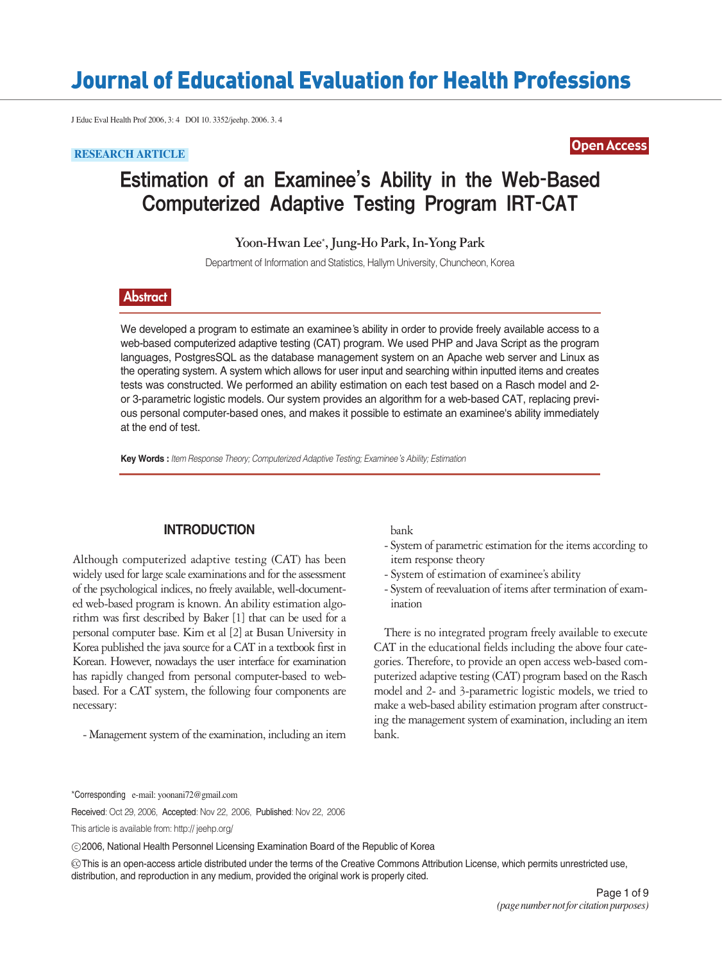# Journal of Educational Evaluation for Health Professions

J Educ Eval Health Prof 2006, 3: 4 DOI 10. 3352/jeehp. 2006. 3. 4

## Open Access **RESEARCH ARTICLE**

## Estimation of an Examinee's Ability in the Web-Based Computerized Adaptive Testing Program IRT-CAT

**Yoon-Hwan Lee**\***, Jung-Ho Park, In-Yong Park**

Department of Information and Statistics, Hallym University, Chuncheon, Korea

### **Abstract**

We developed a program to estimate an examinee's ability in order to provide freely available access to a web-based computerized adaptive testing (CAT) program. We used PHP and Java Script as the program languages, PostgresSQL as the database management system on an Apache web server and Linux as the operating system. A system which allows for user input and searching within inputted items and creates tests was constructed. We performed an ability estimation on each test based on a Rasch model and 2 or 3-parametric logistic models. Our system provides an algorithm for a web-based CAT, replacing previous personal computer-based ones, and makes it possible to estimate an examinee's ability immediately at the end of test.

**Key Words :** *Item Response Theory; Computerized Adaptive Testing; Examinee s Ability; Estimation*

#### **INTRODUCTION**

Although computerized adaptive testing (CAT) has been widely used for large scale examinations and for the assessment of the psychological indices, no freely available, well-documented web-based program is known. An ability estimation algorithm was first described by Baker [1] that can be used for a personal computer base. Kim et al [2] at Busan University in Korea published the java source for a CAT in a textbook first in Korean. However, nowadays the user interface for examination has rapidly changed from personal computer-based to webbased. For a CAT system, the following four components are necessary:

- Management system of the examination, including an item

bank

- System of parametric estimation for the items according to item response theory
- System of estimation of examinee's ability
- System of reevaluation of items after termination of examination

There is no integrated program freely available to execute CAT in the educational fields including the above four categories. Therefore, to provide an open access web-based computerized adaptive testing (CAT) program based on the Rasch model and 2- and 3-parametric logistic models, we tried to make a web-based ability estimation program after constructing the management system of examination, including an item bank.

\*Corresponding e-mail: yoonani72@gmail.com

Received: Oct 29, 2006, Accepted: Nov 22, 2006, Published: Nov 22, 2006

This article is available from: http:// jeehp.org/

2006, National Health Personnel Licensing Examination Board of the Republic of Korea

This is an open-access article distributed under the terms of the Creative Commons Attribution License, which permits unrestricted use, ccdistribution, and reproduction in any medium, provided the original work is properly cited.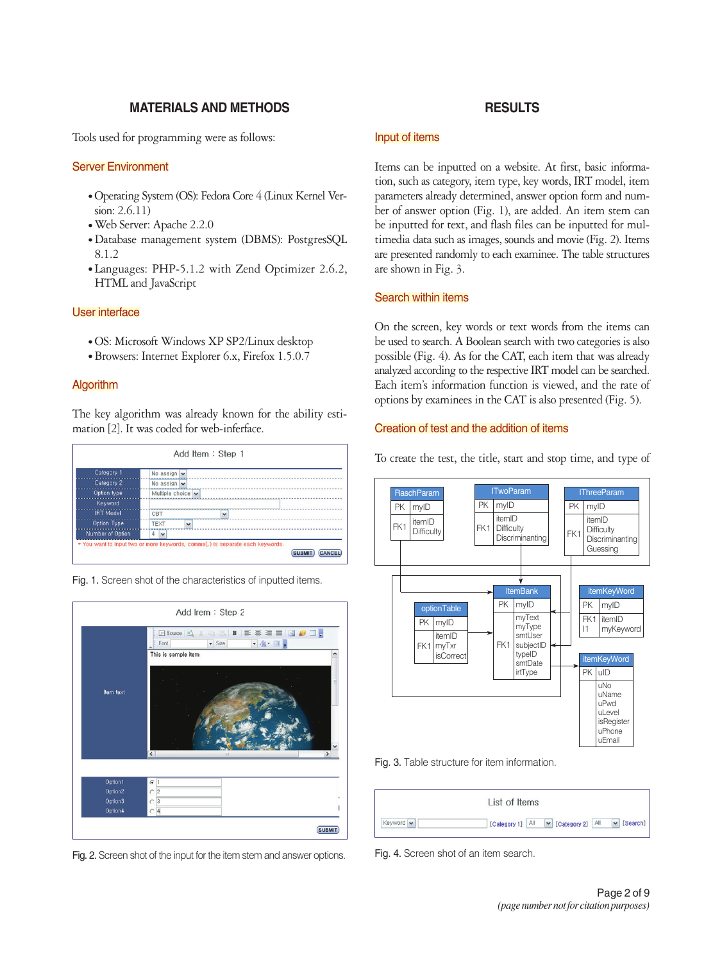#### **MATERIALS AND METHODS**

Tools used for programming were as follows:

#### Server Environment

- Operating System (OS): Fedora Core 4 (Linux Kernel Version: 2.6.11)
- Web Server: Apache 2.2.0
- Database management system (DBMS): PostgresSQL 8.1.2
- Languages: PHP-5.1.2 with Zend Optimizer 2.6.2, HTML and JavaScript

#### User interface

- OS: Microsoft Windows XP SP2/Linux desktop
- Browsers: Internet Explorer 6.x, Firefox 1.5.0.7

#### Algorithm

The key algorithm was already known for the ability estimation [2]. It was coded for web-inferface.



Fig. 1. Screen shot of the characteristics of inputted items.



Fig. 2. Screen shot of the input for the item stem and answer options.

### **RESULTS**

#### Input of items

Items can be inputted on a website. At first, basic information, such as category, item type, key words, IRT model, item parameters already determined, answer option form and number of answer option (Fig. 1), are added. An item stem can be inputted for text, and flash files can be inputted for multimedia data such as images, sounds and movie (Fig. 2). Items are presented randomly to each examinee. The table structures are shown in Fig. 3.

#### Search within items

On the screen, key words or text words from the items can be used to search. A Boolean search with two categories is also possible (Fig. 4). As for the CAT, each item that was already analyzed according to the respective IRT model can be searched. Each item's information function is viewed, and the rate of options by examinees in the CAT is also presented (Fig. 5).

#### Creation of test and the addition of items

To create the test, the title, start and stop time, and type of



Fig. 3. Table structure for item information.

|           | List of Items                                             |
|-----------|-----------------------------------------------------------|
| Keyword v | $\vee$ [Search]<br>V [Category 2] All<br>[Category 1] All |

Fig. 4. Screen shot of an item search.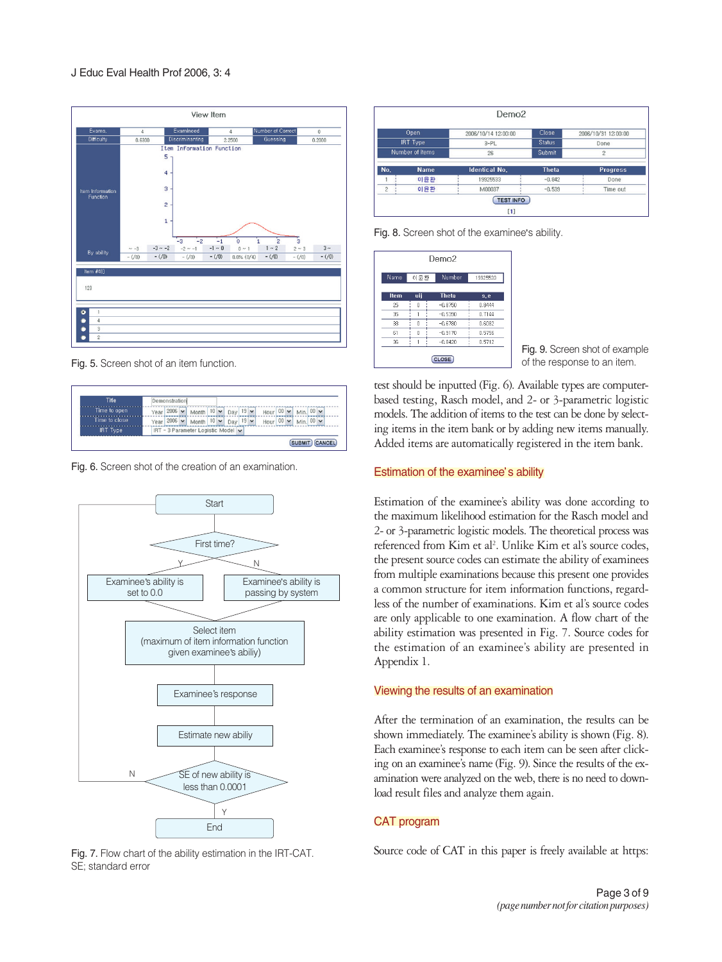

Fig. 5. Screen shot of an item function.



Fig. 6. Screen shot of the creation of an examination.



Fig. 7. Flow chart of the ability estimation in the IRT-CAT. SE; standard error

|                                            |     | Demo <sub>2</sub>                                              |             |                             |
|--------------------------------------------|-----|----------------------------------------------------------------|-------------|-----------------------------|
| Open<br><b>IRT Type</b><br>Number of items |     | <b>Close</b><br>2006/10/14 12:00:00<br><b>Status</b><br>$3-PL$ |             | 2006/10/31 12:00:00<br>Done |
|                                            |     |                                                                |             |                             |
|                                            |     | No.                                                            | <b>Name</b> | <b>Identical No.</b>        |
|                                            | 이윤환 | 19925533                                                       | $-0.842$    | Done                        |
| $\overline{c}$                             | 이윤환 | M00037                                                         | $-0.539$    | Time out                    |
|                                            |     | <b>TEST INFO</b><br>[1]                                        |             |                             |

Fig. 8. Screen shot of the examinee's ability.

| Name | 이윤환 | Number       | 19925533 |
|------|-----|--------------|----------|
| Item | uij | <b>Theta</b> | s,e      |
| 25   | 0   | $-0.8750$    | 0.8444   |
| 35   |     | $-0.5390$    | 0.7144   |
| 38   | 0   | $-0.6780$    | 0.6082   |
| 61   | n   | $-0.9170$    | 0.5756   |
| 36   |     | $-0.8420$    | 0.5712   |

Fig. 9. Screen shot of example of the response to an item.

test should be inputted (Fig. 6). Available types are computerbased testing, Rasch model, and 2- or 3-parametric logistic models. The addition of items to the test can be done by selecting items in the item bank or by adding new items manually. Added items are automatically registered in the item bank.

#### Estimation of the examinee's ability

Estimation of the examinee's ability was done according to the maximum likelihood estimation for the Rasch model and 2- or 3-parametric logistic models. The theoretical process was referenced from Kim et al<sup>2</sup>. Unlike Kim et al's source codes, the present source codes can estimate the ability of examinees from multiple examinations because this present one provides a common structure for item information functions, regardless of the number of examinations. Kim et al's source codes are only applicable to one examination. A flow chart of the ability estimation was presented in Fig. 7. Source codes for the estimation of an examinee's ability are presented in Appendix 1.

#### Viewing the results of an examination

After the termination of an examination, the results can be shown immediately. The examinee's ability is shown (Fig. 8). Each examinee's response to each item can be seen after clicking on an examinee's name (Fig. 9). Since the results of the examination were analyzed on the web, there is no need to download result files and analyze them again.

#### CAT program

Source code of CAT in this paper is freely available at https: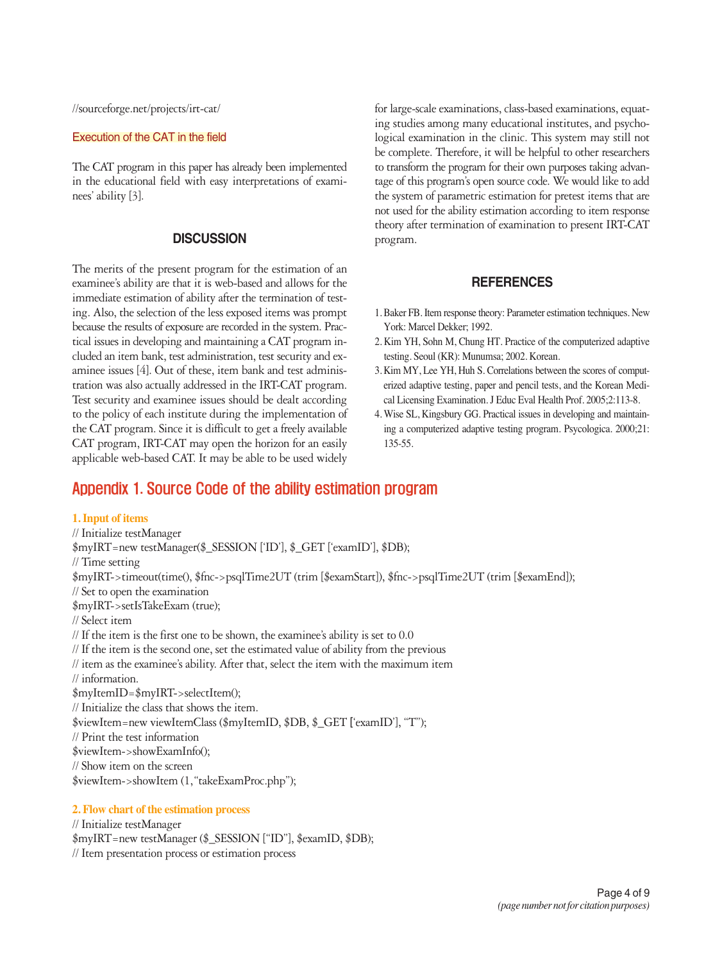//sourceforge.net/projects/irt-cat/

#### Execution of the CAT in the field

The CAT program in this paper has already been implemented in the educational field with easy interpretations of examinees' ability [3].

#### **DISCUSSION**

The merits of the present program for the estimation of an examinee's ability are that it is web-based and allows for the immediate estimation of ability after the termination of testing. Also, the selection of the less exposed items was prompt because the results of exposure are recorded in the system. Practical issues in developing and maintaining a CAT program included an item bank, test administration, test security and examinee issues [4]. Out of these, item bank and test administration was also actually addressed in the IRT-CAT program. Test security and examinee issues should be dealt according to the policy of each institute during the implementation of the CAT program. Since it is difficult to get a freely available CAT program, IRT-CAT may open the horizon for an easily applicable web-based CAT. It may be able to be used widely

## Appendix 1. Source Code of the ability estimation program

#### **1. Input of items**

// Initialize testManager \$myIRT=new testManager(\$\_SESSION ['ID'], \$\_GET ['examID'], \$DB); // Time setting \$myIRT->timeout(time(), \$fnc->psqlTime2UT (trim [\$examStart]), \$fnc->psqlTime2UT (trim [\$examEnd]); // Set to open the examination \$myIRT->setIsTakeExam (true); // Select item // If the item is the first one to be shown, the examinee's ability is set to 0.0 // If the item is the second one, set the estimated value of ability from the previous // item as the examinee's ability. After that, select the item with the maximum item // information. \$myItemID=\$myIRT->selectItem(); // Initialize the class that shows the item. \$viewItem=new viewItemClass (\$myItemID, \$DB, \$\_GET ['examID'], "T"); // Print the test information \$viewItem->showExamInfo(); // Show item on the screen \$viewItem->showItem (1,"takeExamProc.php");

#### **2. Flow chart of the estimation process**

// Initialize testManager \$myIRT=new testManager (\$\_SESSION ["ID"], \$examID, \$DB); // Item presentation process or estimation process

for large-scale examinations, class-based examinations, equating studies among many educational institutes, and psychological examination in the clinic. This system may still not be complete. Therefore, it will be helpful to other researchers to transform the program for their own purposes taking advantage of this program's open source code. We would like to add the system of parametric estimation for pretest items that are not used for the ability estimation according to item response theory after termination of examination to present IRT-CAT program.

#### **REFERENCES**

- 1. Baker FB. Item response theory: Parameter estimation techniques. New York: Marcel Dekker; 1992.
- 2. Kim YH, Sohn M, Chung HT. Practice of the computerized adaptive testing. Seoul (KR): Munumsa; 2002. Korean.
- 3. Kim MY, Lee YH, Huh S. Correlations between the scores of computerized adaptive testing, paper and pencil tests, and the Korean Medical Licensing Examination. J Educ Eval Health Prof. 2005;2:113-8.
- 4. Wise SL, Kingsbury GG. Practical issues in developing and maintaining a computerized adaptive testing program. Psycologica. 2000;21: 135-55.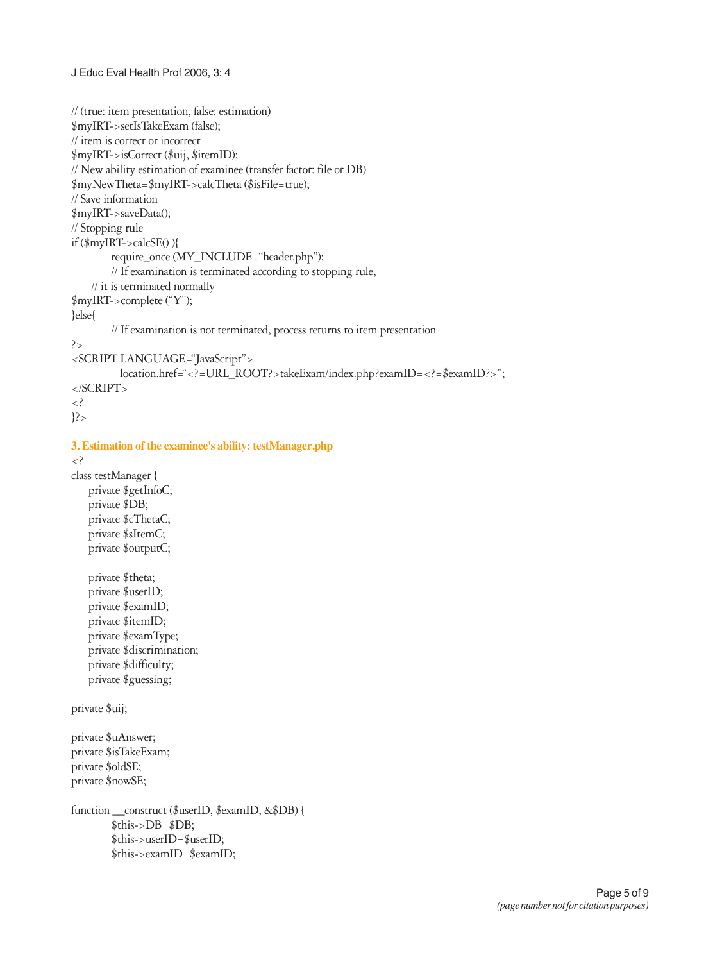```
J Educ Eval Health Prof 2006, 3: 4
```

```
// (true: item presentation, false: estimation)
$myIRT->setIsTakeExam (false);
// item is correct or incorrect
$myIRT->isCorrect ($uij, $itemID);
// New ability estimation of examinee (transfer factor: file or DB)
$myNewTheta=$myIRT->calcTheta ($isFile=true);
// Save information
$myIRT->saveData();
// Stopping rule
if ($myIRT->calcSE() ){
        require_once (MY_INCLUDE ."header.php");
        // If examination is terminated according to stopping rule, 
    // it is terminated normally
$myIRT->complete ("Y");
}else{
        // If examination is not terminated, process returns to item presentation
?>
<SCRIPT LANGUAGE="JavaScript">
          location.href="<?=URL_ROOT?>takeExam/index.php?examID=<?=$examID?>";
</SCRIPT>
<?
?3. Estimation of the examinee's ability: testManager.php
<?
class testManager {
   private $getInfoC;
   private $DB;
   private $cThetaC;
   private $sItemC;
   private $outputC;
   private $theta;
   private $userID;
   private $examID;
   private $itemID;
   private $examType;
   private $discrimination;
   private $difficulty;
   private $guessing;
private $uij;
private $uAnswer;
private $isTakeExam;
private $oldSE;
private $nowSE;
function __construct ($userID, $examID, &$DB) {
        \overline{\$this}\rightarrow DB=\$DB;$this->userID=$userID;
        $this->examID=$examID;
```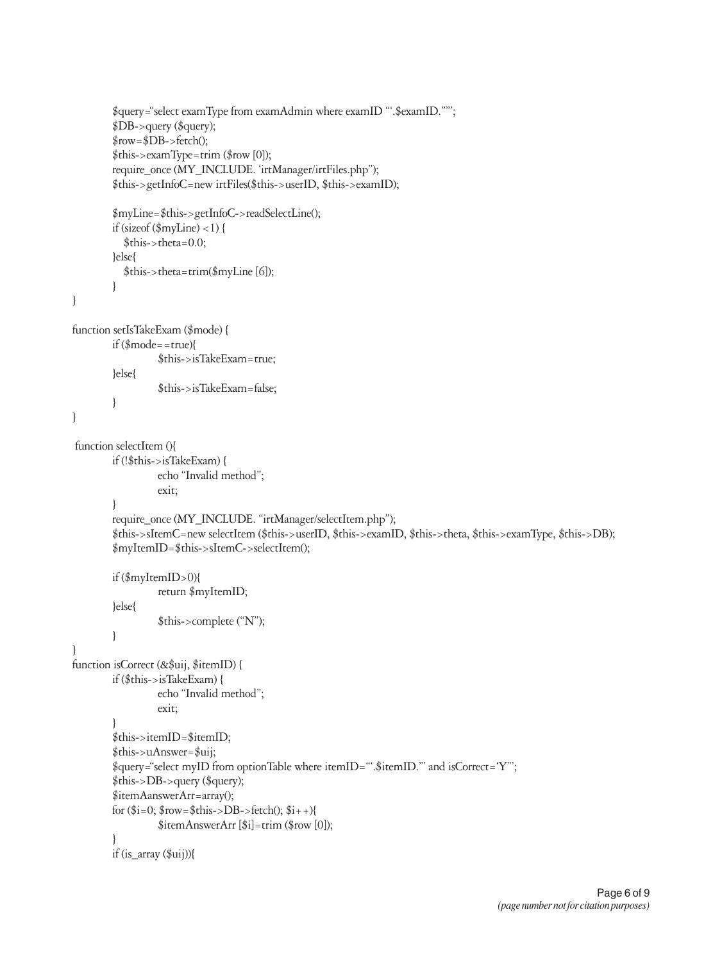```
$query="select examType from examAdmin where examID "'.$examID.""';
        $DB->query ($query);
        $row=$DB->fetch();
        $this->examType=trim ($row [0]);
        require_once (MY_INCLUDE. 'irtManager/irtFiles.php");
        $this->getInfoC=new irtFiles($this->userID, $this->examID);
        $myLine=$this->getInfoC->readSelectLine();
        if (sizeof (\frac{m}{L}m\) < 1) {
          $this->theta=0.0;
        }else{
          $this->theta=trim($myLine [6]);
        }
}
function setIsTakeExam ($mode) {
        if ($mode==true){
                 $this->isTakeExam=true;
        }else{
                 $this->isTakeExam=false;
        }
}
function selectItem (){
        if (!$this->isTakeExam) {
                 echo "Invalid method";
                 exit;
        }
        require_once (MY_INCLUDE. "irtManager/selectItem.php");
        $this->sItemC=new selectItem ($this->userID, $this->examID, $this->theta, $this->examType, $this->DB);
        $myItemID=$this->sItemC->selectItem();
        if ($myItemID>0){
                 return $myItemID;
        }else{
                 $this->complete ("N");
        }
}
function isCorrect (&$uij, $itemID) {
        if ($this->isTakeExam) {
                 echo "Invalid method";
                 exit;
        }
        $this->itemID=$itemID;
        $this->uAnswer=$uij;
        $query="select myID from optionTable where itemID="'.$itemID."' and isCorrect='Y"';
        $this->DB->query ($query);
        $itemAanswerArr=array();
        for ($i=0; $row = $this->DB - $fetch(); $i++){
                 $itemAnswerArr [$i]=trim ($row [0]);
        }
        if (is_array ($uij)){
```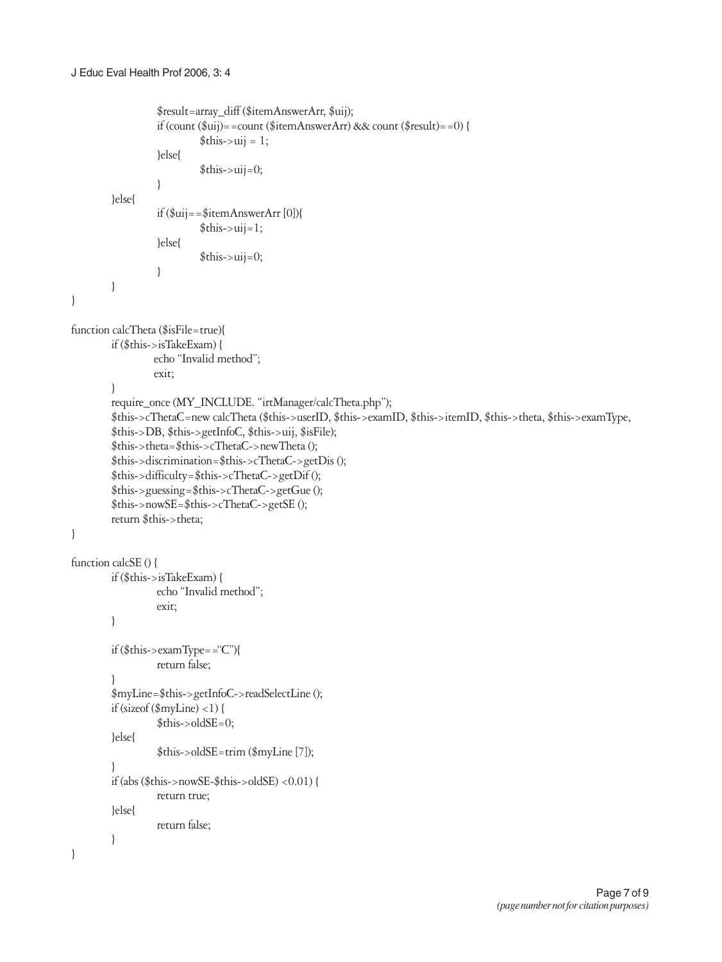```
$result=array_diff ($itemAnswerArr, $uij);
                      if (count (\frac{2}{3}ui)) = = count (\frac{2}{3}item Answer Arr) & & count (\frac{2}{3}rest) = = 0) {
                                 $this \rightarrow iii = 1;}else{
                                 \frac{\sinh s}{s}->uij=0;
                      \left\{ \right\}lelse{
                      if $uij = = $itemAnswerArr [0]){
                                 \text{5}this->uij=1;
                      }else{
                                 \text{this}->uij=0;
                      \left\{ \right\}\left\{ \right.\left\{ \right\}function calcTheta ($isFile=true){
          if ($this->isTakeExam) {
                     echo "Invalid method";
                     exit:
          \mathcal{E}require_once (MY_INCLUDE. "irtManager/calcTheta.php");
          $this->cThetaC=new calcTheta ($this->userID, $this->examID, $this->itemID, $this->theta, $this->examType,
          $this->DB, $this->getInfoC, $this->uij, $isFile);
          $this->theta=$this->cThetaC->newTheta();
          $this->discrimination=$this->cThetaC->getDis();
          $this->difficulty=$this->cThetaC->getDif();
          $this\text{-}{}guessing$this\text{-}{}cTheta$-}getGue ();
          $this \rightarrow nowSE = $this \rightarrow cTheta \rightarrow getSE ();
          return $this->theta;
\}function calcSE () {
          if ($this->isTakeExam) {
                      echo "Invalid method";
                      exit:
          \}if ($this->examType=="C"){
                      return false;
          \mathcal{E}$myLine=$this->getInfoC->readSelectLine ();
          if (size of (\text{myLine}) < 1) {
                      $this > oldSE = 0;}else{
                      $this->oldSE=trim ($myLine [7]);
          \mathcal{E}if (abs ($this->nowSE-$this->oldSE) <0.01) {
                      return true:
          }else{
                      return false;
          \mathcal{E}\overline{\mathbf{r}}
```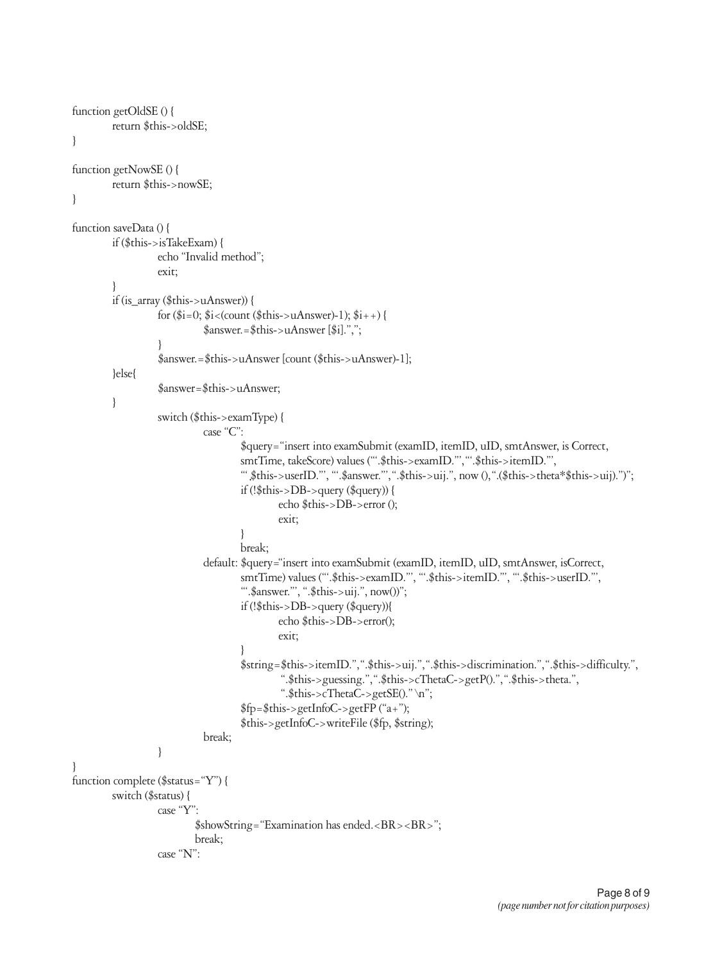```
function getOldSE () {
         return $this->oldSE;
\mathcal{E}function getNowSE () {
         return $this->nowSE;
\mathcal{E}function saveData () {
         if ($this->isTakeExam) {
                    echo "Invalid method";
                    exit:
         ₹
         if (is_array (\thetathis->uAnswer)) {
                    for (\frac{2}{3}i=0; \frac{4}{3}i< (count (\frac{4}{3}this->uAnswer)-1); \frac{4}{3}i+1 {
                               \text{\$answer} = \text{\$this} > u \text{Answer } [\text{\$i}] \text{."}\mathcal{E}$answer.=$this->uAnswer [count ($this->uAnswer)-1];
         }else{
                    $answer=$this->uAnswer;
         \overline{\mathbf{a}}switch ($this->examType) {
                               case "C":
                                        $query="insert into examSubmit (examID, itemID, uID, smtAnswer, is Correct,
                                        smtTime, takeScore) values ("".$this->examID."', ".$this->itemID."',
                                        "" $this->userID."", "".$answer."", ".$this->uij.", now (), ".($this->theta*$this->uij).")";
                                        if (!\$this->DB->query (\$query)) {
                                                 echo $this->DB->error ();
                                                 exit:
                                        \mathcal{E}break;
                               default: $query="insert into examSubmit (examID, itemID, uID, smtAnswer, isCorrect,
                                        smtTime) values (".$this->examID.", ".$this->itemID.", ".$this->userID."',
                                        "".$answer."", ".$this->uij.", now())";
                                        if (!$this->DB->query ($query)){
                                                 echo $this->DB->error();
                                                 exit:
                                        \mathcal{E}$string=$this->itemID.",".$this->uij.",".$this->discrimination.",".$this->difficulty.",
                                                  ".$this->guessing.",".$this->cThetaC->getP().",".$this->theta.",
                                                  ".$this->cThetaC->getSE()." \n";
                                        $fp = $this->getInfoC->getFP ("a+");$this->getInfoC->writeFile ($fp, $string);
                               break;
                    \}\mathcal{E}function complete ($status="Y") {
         switch ($status) {
                    case "Y":
                             $showString="Examination has ended.<BR><BR>";
                             break;
                    case "N":
```